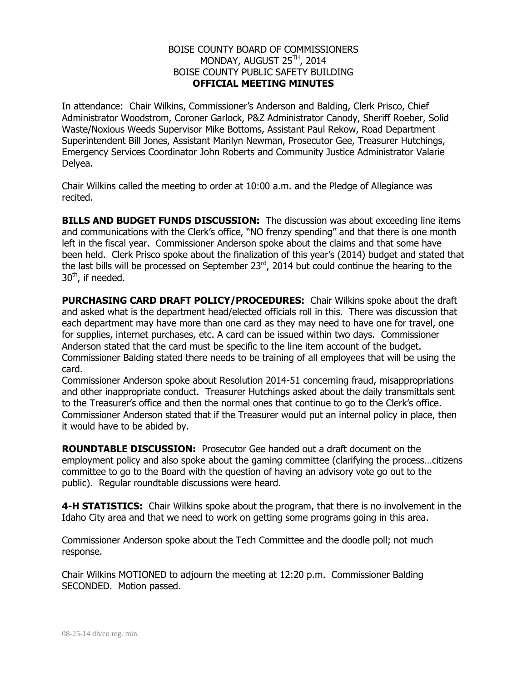## BOISE COUNTY BOARD OF COMMISSIONERS MONDAY, AUGUST 25<sup>TH</sup>, 2014 BOISE COUNTY PUBLIC SAFETY BUILDING **OFFICIAL MEETING MINUTES**

In attendance: Chair Wilkins, Commissioner's Anderson and Balding, Clerk Prisco, Chief Administrator Woodstrom, Coroner Garlock, P&Z Administrator Canody, Sheriff Roeber, Solid Waste/Noxious Weeds Supervisor Mike Bottoms, Assistant Paul Rekow, Road Department Superintendent Bill Jones, Assistant Marilyn Newman, Prosecutor Gee, Treasurer Hutchings, Emergency Services Coordinator John Roberts and Community Justice Administrator Valarie Delyea.

Chair Wilkins called the meeting to order at 10:00 a.m. and the Pledge of Allegiance was recited.

**BILLS AND BUDGET FUNDS DISCUSSION:** The discussion was about exceeding line items and communications with the Clerk's office, "NO frenzy spending" and that there is one month left in the fiscal year. Commissioner Anderson spoke about the claims and that some have been held. Clerk Prisco spoke about the finalization of this year's (2014) budget and stated that the last bills will be processed on September  $23<sup>rd</sup>$ , 2014 but could continue the hearing to the 30<sup>th</sup>, if needed.

**PURCHASING CARD DRAFT POLICY/PROCEDURES:** Chair Wilkins spoke about the draft and asked what is the department head/elected officials roll in this. There was discussion that each department may have more than one card as they may need to have one for travel, one for supplies, internet purchases, etc. A card can be issued within two days. Commissioner Anderson stated that the card must be specific to the line item account of the budget. Commissioner Balding stated there needs to be training of all employees that will be using the card.

Commissioner Anderson spoke about Resolution 2014-51 concerning fraud, misappropriations and other inappropriate conduct. Treasurer Hutchings asked about the daily transmittals sent to the Treasurer's office and then the normal ones that continue to go to the Clerk's office. Commissioner Anderson stated that if the Treasurer would put an internal policy in place, then it would have to be abided by.

**ROUNDTABLE DISCUSSION:** Prosecutor Gee handed out a draft document on the employment policy and also spoke about the gaming committee (clarifying the process…citizens committee to go to the Board with the question of having an advisory vote go out to the public). Regular roundtable discussions were heard.

**4-H STATISTICS:** Chair Wilkins spoke about the program, that there is no involvement in the Idaho City area and that we need to work on getting some programs going in this area.

Commissioner Anderson spoke about the Tech Committee and the doodle poll; not much response.

Chair Wilkins MOTIONED to adjourn the meeting at 12:20 p.m. Commissioner Balding SECONDED. Motion passed.